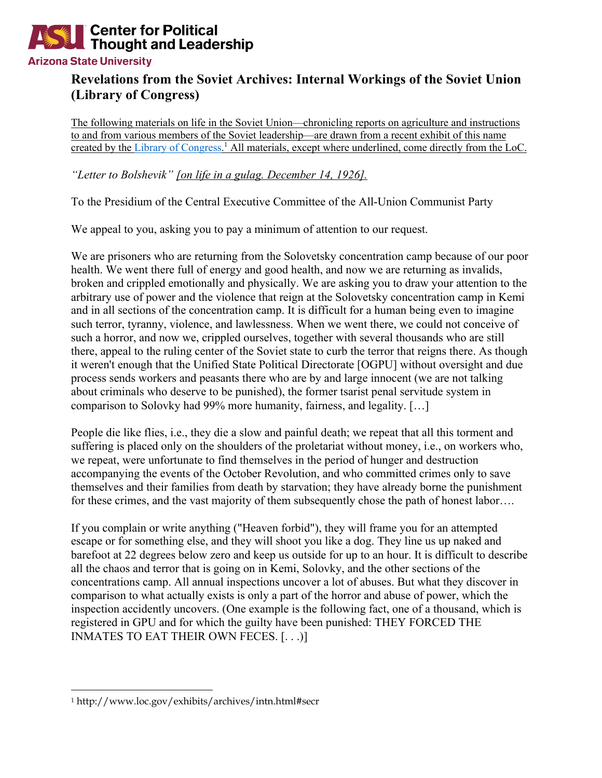

# **Revelations from the Soviet Archives: Internal Workings of the Soviet Union (Library of Congress)**

The following materials on life in the Soviet Union—chronicling reports on agriculture and instructions to and from various members of the Soviet leadership—are drawn from a recent exhibit of this name created by the Library of Congress.<sup>1</sup> All materials, except where underlined, come directly from the LoC.

*"Letter to Bolshevik" [on life in a gulag. December 14, 1926].*

To the Presidium of the Central Executive Committee of the All-Union Communist Party

We appeal to you, asking you to pay a minimum of attention to our request.

We are prisoners who are returning from the Solovetsky concentration camp because of our poor health. We went there full of energy and good health, and now we are returning as invalids, broken and crippled emotionally and physically. We are asking you to draw your attention to the arbitrary use of power and the violence that reign at the Solovetsky concentration camp in Kemi and in all sections of the concentration camp. It is difficult for a human being even to imagine such terror, tyranny, violence, and lawlessness. When we went there, we could not conceive of such a horror, and now we, crippled ourselves, together with several thousands who are still there, appeal to the ruling center of the Soviet state to curb the terror that reigns there. As though it weren't enough that the Unified State Political Directorate [OGPU] without oversight and due process sends workers and peasants there who are by and large innocent (we are not talking about criminals who deserve to be punished), the former tsarist penal servitude system in comparison to Solovky had 99% more humanity, fairness, and legality. […]

People die like flies, i.e., they die a slow and painful death; we repeat that all this torment and suffering is placed only on the shoulders of the proletariat without money, i.e., on workers who, we repeat, were unfortunate to find themselves in the period of hunger and destruction accompanying the events of the October Revolution, and who committed crimes only to save themselves and their families from death by starvation; they have already borne the punishment for these crimes, and the vast majority of them subsequently chose the path of honest labor….

If you complain or write anything ("Heaven forbid"), they will frame you for an attempted escape or for something else, and they will shoot you like a dog. They line us up naked and barefoot at 22 degrees below zero and keep us outside for up to an hour. It is difficult to describe all the chaos and terror that is going on in Kemi, Solovky, and the other sections of the concentrations camp. All annual inspections uncover a lot of abuses. But what they discover in comparison to what actually exists is only a part of the horror and abuse of power, which the inspection accidently uncovers. (One example is the following fact, one of a thousand, which is registered in GPU and for which the guilty have been punished: THEY FORCED THE INMATES TO EAT THEIR OWN FECES. [. . .)]

<sup>1</sup> http://www.loc.gov/exhibits/archives/intn.html#secr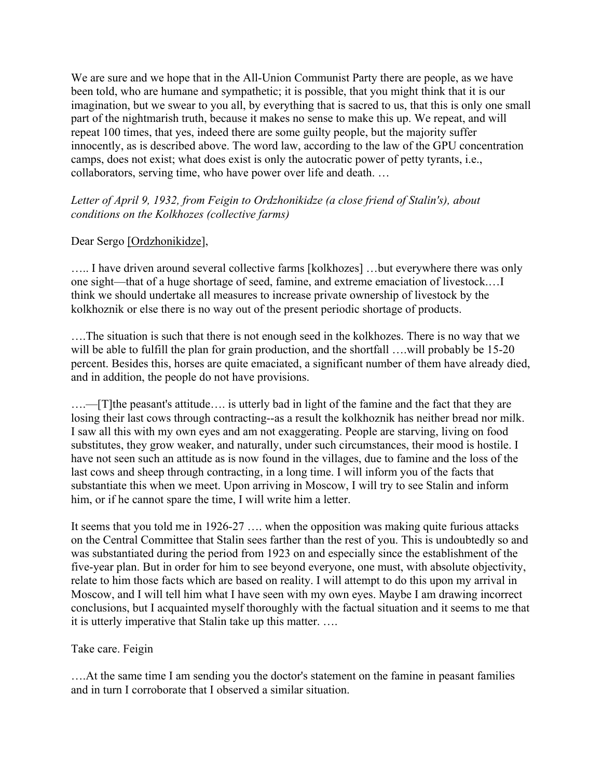We are sure and we hope that in the All-Union Communist Party there are people, as we have been told, who are humane and sympathetic; it is possible, that you might think that it is our imagination, but we swear to you all, by everything that is sacred to us, that this is only one small part of the nightmarish truth, because it makes no sense to make this up. We repeat, and will repeat 100 times, that yes, indeed there are some guilty people, but the majority suffer innocently, as is described above. The word law, according to the law of the GPU concentration camps, does not exist; what does exist is only the autocratic power of petty tyrants, i.e., collaborators, serving time, who have power over life and death. …

# *Letter of April 9, 1932, from Feigin to Ordzhonikidze (a close friend of Stalin's), about conditions on the Kolkhozes (collective farms)*

# Dear Sergo [Ordzhonikidze],

….. I have driven around several collective farms [kolkhozes] …but everywhere there was only one sight—that of a huge shortage of seed, famine, and extreme emaciation of livestock.…I think we should undertake all measures to increase private ownership of livestock by the kolkhoznik or else there is no way out of the present periodic shortage of products.

….The situation is such that there is not enough seed in the kolkhozes. There is no way that we will be able to fulfill the plan for grain production, and the shortfall ...will probably be 15-20 percent. Besides this, horses are quite emaciated, a significant number of them have already died, and in addition, the people do not have provisions.

....—[T]the peasant's attitude.... is utterly bad in light of the famine and the fact that they are losing their last cows through contracting--as a result the kolkhoznik has neither bread nor milk. I saw all this with my own eyes and am not exaggerating. People are starving, living on food substitutes, they grow weaker, and naturally, under such circumstances, their mood is hostile. I have not seen such an attitude as is now found in the villages, due to famine and the loss of the last cows and sheep through contracting, in a long time. I will inform you of the facts that substantiate this when we meet. Upon arriving in Moscow, I will try to see Stalin and inform him, or if he cannot spare the time, I will write him a letter.

It seems that you told me in 1926-27 …. when the opposition was making quite furious attacks on the Central Committee that Stalin sees farther than the rest of you. This is undoubtedly so and was substantiated during the period from 1923 on and especially since the establishment of the five-year plan. But in order for him to see beyond everyone, one must, with absolute objectivity, relate to him those facts which are based on reality. I will attempt to do this upon my arrival in Moscow, and I will tell him what I have seen with my own eyes. Maybe I am drawing incorrect conclusions, but I acquainted myself thoroughly with the factual situation and it seems to me that it is utterly imperative that Stalin take up this matter. ….

# Take care. Feigin

….At the same time I am sending you the doctor's statement on the famine in peasant families and in turn I corroborate that I observed a similar situation.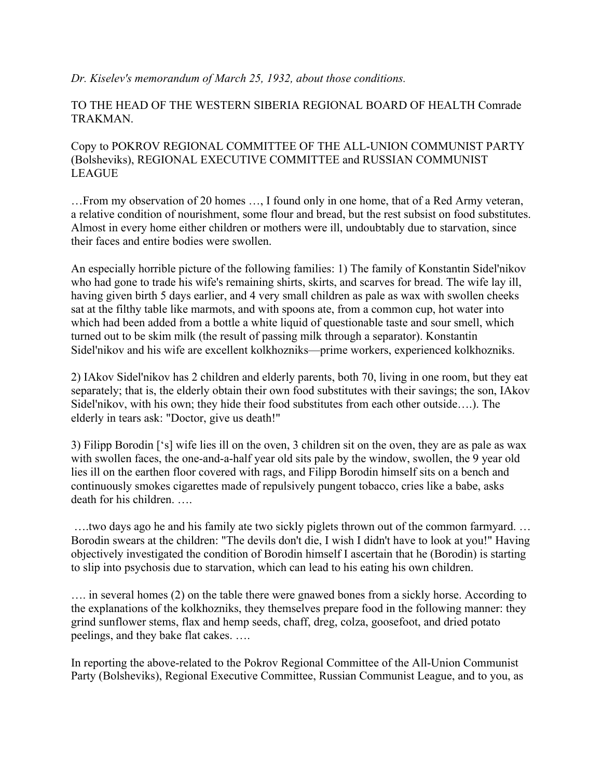#### *Dr. Kiselev's memorandum of March 25, 1932, about those conditions.*

# TO THE HEAD OF THE WESTERN SIBERIA REGIONAL BOARD OF HEALTH Comrade TRAKMAN.

# Copy to POKROV REGIONAL COMMITTEE OF THE ALL-UNION COMMUNIST PARTY (Bolsheviks), REGIONAL EXECUTIVE COMMITTEE and RUSSIAN COMMUNIST LEAGUE

…From my observation of 20 homes …, I found only in one home, that of a Red Army veteran, a relative condition of nourishment, some flour and bread, but the rest subsist on food substitutes. Almost in every home either children or mothers were ill, undoubtably due to starvation, since their faces and entire bodies were swollen.

An especially horrible picture of the following families: 1) The family of Konstantin Sidel'nikov who had gone to trade his wife's remaining shirts, skirts, and scarves for bread. The wife lay ill, having given birth 5 days earlier, and 4 very small children as pale as wax with swollen cheeks sat at the filthy table like marmots, and with spoons ate, from a common cup, hot water into which had been added from a bottle a white liquid of questionable taste and sour smell, which turned out to be skim milk (the result of passing milk through a separator). Konstantin Sidel'nikov and his wife are excellent kolkhozniks—prime workers, experienced kolkhozniks.

2) IAkov Sidel'nikov has 2 children and elderly parents, both 70, living in one room, but they eat separately; that is, the elderly obtain their own food substitutes with their savings; the son, IAkov Sidel'nikov, with his own; they hide their food substitutes from each other outside….). The elderly in tears ask: "Doctor, give us death!"

3) Filipp Borodin ['s] wife lies ill on the oven, 3 children sit on the oven, they are as pale as wax with swollen faces, the one-and-a-half year old sits pale by the window, swollen, the 9 year old lies ill on the earthen floor covered with rags, and Filipp Borodin himself sits on a bench and continuously smokes cigarettes made of repulsively pungent tobacco, cries like a babe, asks death for his children. ….

….two days ago he and his family ate two sickly piglets thrown out of the common farmyard. … Borodin swears at the children: "The devils don't die, I wish I didn't have to look at you!" Having objectively investigated the condition of Borodin himself I ascertain that he (Borodin) is starting to slip into psychosis due to starvation, which can lead to his eating his own children.

…. in several homes (2) on the table there were gnawed bones from a sickly horse. According to the explanations of the kolkhozniks, they themselves prepare food in the following manner: they grind sunflower stems, flax and hemp seeds, chaff, dreg, colza, goosefoot, and dried potato peelings, and they bake flat cakes. ….

In reporting the above-related to the Pokrov Regional Committee of the All-Union Communist Party (Bolsheviks), Regional Executive Committee, Russian Communist League, and to you, as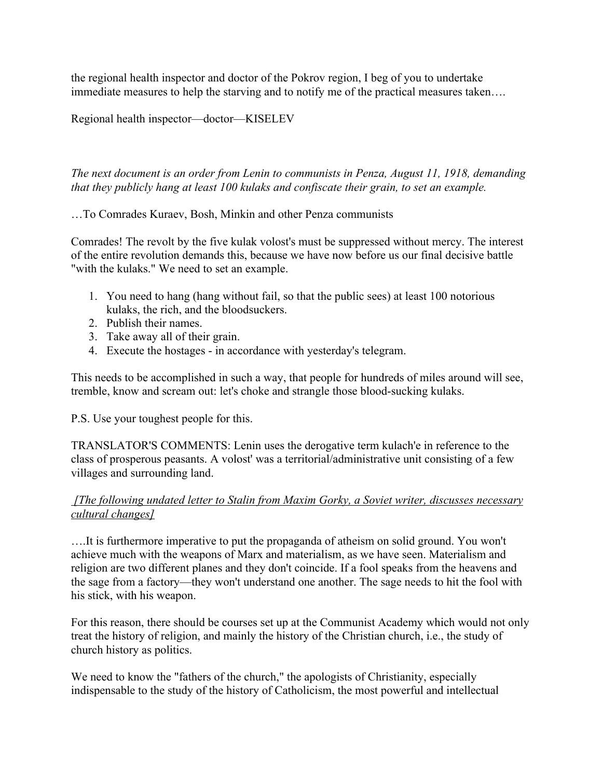the regional health inspector and doctor of the Pokrov region, I beg of you to undertake immediate measures to help the starving and to notify me of the practical measures taken….

Regional health inspector—doctor—KISELEV

*The next document is an order from Lenin to communists in Penza, August 11, 1918, demanding that they publicly hang at least 100 kulaks and confiscate their grain, to set an example.*

…To Comrades Kuraev, Bosh, Minkin and other Penza communists

Comrades! The revolt by the five kulak volost's must be suppressed without mercy. The interest of the entire revolution demands this, because we have now before us our final decisive battle "with the kulaks." We need to set an example.

- 1. You need to hang (hang without fail, so that the public sees) at least 100 notorious kulaks, the rich, and the bloodsuckers.
- 2. Publish their names.
- 3. Take away all of their grain.
- 4. Execute the hostages in accordance with yesterday's telegram.

This needs to be accomplished in such a way, that people for hundreds of miles around will see, tremble, know and scream out: let's choke and strangle those blood-sucking kulaks.

P.S. Use your toughest people for this.

TRANSLATOR'S COMMENTS: Lenin uses the derogative term kulach'e in reference to the class of prosperous peasants. A volost' was a territorial/administrative unit consisting of a few villages and surrounding land.

# *[The following undated letter to Stalin from Maxim Gorky, a Soviet writer, discusses necessary cultural changes]*

….It is furthermore imperative to put the propaganda of atheism on solid ground. You won't achieve much with the weapons of Marx and materialism, as we have seen. Materialism and religion are two different planes and they don't coincide. If a fool speaks from the heavens and the sage from a factory—they won't understand one another. The sage needs to hit the fool with his stick, with his weapon.

For this reason, there should be courses set up at the Communist Academy which would not only treat the history of religion, and mainly the history of the Christian church, i.e., the study of church history as politics.

We need to know the "fathers of the church," the apologists of Christianity, especially indispensable to the study of the history of Catholicism, the most powerful and intellectual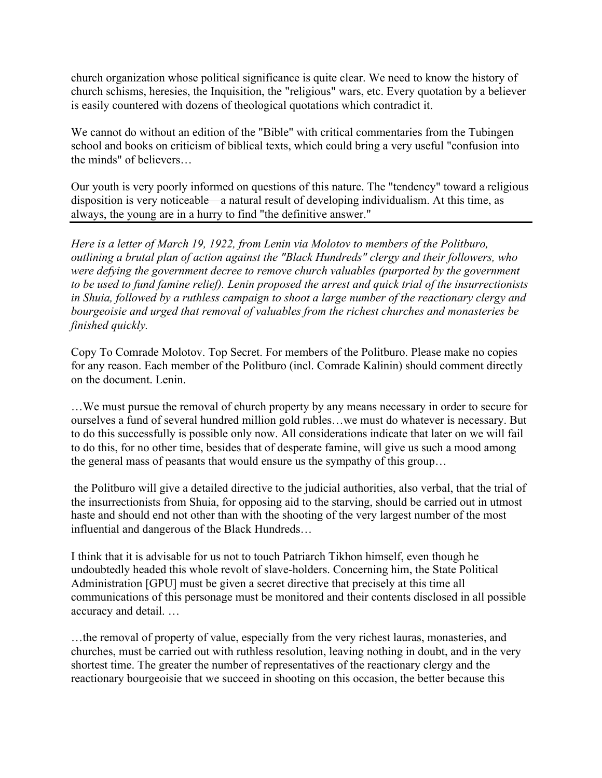church organization whose political significance is quite clear. We need to know the history of church schisms, heresies, the Inquisition, the "religious" wars, etc. Every quotation by a believer is easily countered with dozens of theological quotations which contradict it.

We cannot do without an edition of the "Bible" with critical commentaries from the Tubingen school and books on criticism of biblical texts, which could bring a very useful "confusion into the minds" of believers…

Our youth is very poorly informed on questions of this nature. The "tendency" toward a religious disposition is very noticeable—a natural result of developing individualism. At this time, as always, the young are in a hurry to find "the definitive answer."

*Here is a letter of March 19, 1922, from Lenin via Molotov to members of the Politburo, outlining a brutal plan of action against the "Black Hundreds" clergy and their followers, who were defying the government decree to remove church valuables (purported by the government to be used to fund famine relief). Lenin proposed the arrest and quick trial of the insurrectionists in Shuia, followed by a ruthless campaign to shoot a large number of the reactionary clergy and bourgeoisie and urged that removal of valuables from the richest churches and monasteries be finished quickly.*

Copy To Comrade Molotov. Top Secret. For members of the Politburo. Please make no copies for any reason. Each member of the Politburo (incl. Comrade Kalinin) should comment directly on the document. Lenin.

…We must pursue the removal of church property by any means necessary in order to secure for ourselves a fund of several hundred million gold rubles…we must do whatever is necessary. But to do this successfully is possible only now. All considerations indicate that later on we will fail to do this, for no other time, besides that of desperate famine, will give us such a mood among the general mass of peasants that would ensure us the sympathy of this group…

the Politburo will give a detailed directive to the judicial authorities, also verbal, that the trial of the insurrectionists from Shuia, for opposing aid to the starving, should be carried out in utmost haste and should end not other than with the shooting of the very largest number of the most influential and dangerous of the Black Hundreds…

I think that it is advisable for us not to touch Patriarch Tikhon himself, even though he undoubtedly headed this whole revolt of slave-holders. Concerning him, the State Political Administration [GPU] must be given a secret directive that precisely at this time all communications of this personage must be monitored and their contents disclosed in all possible accuracy and detail. …

…the removal of property of value, especially from the very richest lauras, monasteries, and churches, must be carried out with ruthless resolution, leaving nothing in doubt, and in the very shortest time. The greater the number of representatives of the reactionary clergy and the reactionary bourgeoisie that we succeed in shooting on this occasion, the better because this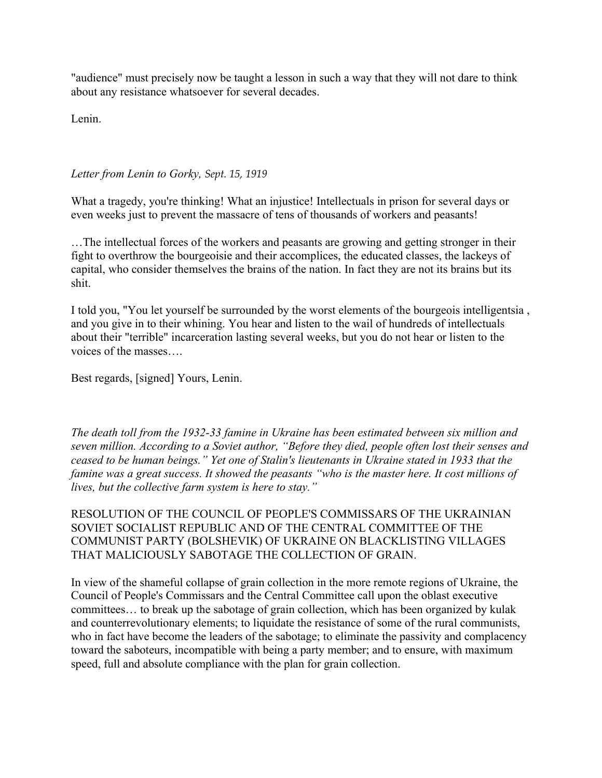"audience" must precisely now be taught a lesson in such a way that they will not dare to think about any resistance whatsoever for several decades.

Lenin.

#### *Letter from Lenin to Gorky, Sept. 15, 1919*

What a tragedy, you're thinking! What an injustice! Intellectuals in prison for several days or even weeks just to prevent the massacre of tens of thousands of workers and peasants!

…The intellectual forces of the workers and peasants are growing and getting stronger in their fight to overthrow the bourgeoisie and their accomplices, the educated classes, the lackeys of capital, who consider themselves the brains of the nation. In fact they are not its brains but its shit.

I told you, "You let yourself be surrounded by the worst elements of the bourgeois intelligentsia , and you give in to their whining. You hear and listen to the wail of hundreds of intellectuals about their "terrible" incarceration lasting several weeks, but you do not hear or listen to the voices of the masses….

Best regards, [signed] Yours, Lenin.

*The death toll from the 1932-33 famine in Ukraine has been estimated between six million and seven million. According to a Soviet author, "Before they died, people often lost their senses and ceased to be human beings." Yet one of Stalin's lieutenants in Ukraine stated in 1933 that the famine was a great success. It showed the peasants "who is the master here. It cost millions of lives, but the collective farm system is here to stay."*

RESOLUTION OF THE COUNCIL OF PEOPLE'S COMMISSARS OF THE UKRAINIAN SOVIET SOCIALIST REPUBLIC AND OF THE CENTRAL COMMITTEE OF THE COMMUNIST PARTY (BOLSHEVIK) OF UKRAINE ON BLACKLISTING VILLAGES THAT MALICIOUSLY SABOTAGE THE COLLECTION OF GRAIN.

In view of the shameful collapse of grain collection in the more remote regions of Ukraine, the Council of People's Commissars and the Central Committee call upon the oblast executive committees… to break up the sabotage of grain collection, which has been organized by kulak and counterrevolutionary elements; to liquidate the resistance of some of the rural communists, who in fact have become the leaders of the sabotage; to eliminate the passivity and complacency toward the saboteurs, incompatible with being a party member; and to ensure, with maximum speed, full and absolute compliance with the plan for grain collection.